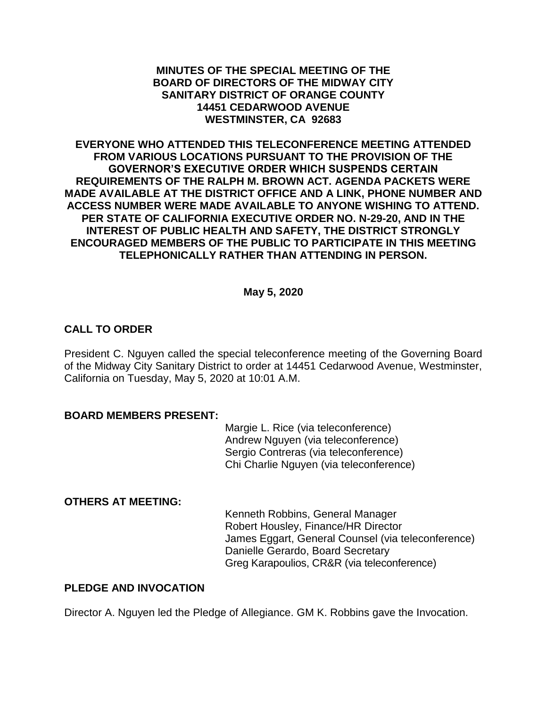#### **MINUTES OF THE SPECIAL MEETING OF THE BOARD OF DIRECTORS OF THE MIDWAY CITY SANITARY DISTRICT OF ORANGE COUNTY 14451 CEDARWOOD AVENUE WESTMINSTER, CA 92683**

**EVERYONE WHO ATTENDED THIS TELECONFERENCE MEETING ATTENDED FROM VARIOUS LOCATIONS PURSUANT TO THE PROVISION OF THE GOVERNOR'S EXECUTIVE ORDER WHICH SUSPENDS CERTAIN REQUIREMENTS OF THE RALPH M. BROWN ACT. AGENDA PACKETS WERE MADE AVAILABLE AT THE DISTRICT OFFICE AND A LINK, PHONE NUMBER AND ACCESS NUMBER WERE MADE AVAILABLE TO ANYONE WISHING TO ATTEND. PER STATE OF CALIFORNIA EXECUTIVE ORDER NO. N-29-20, AND IN THE INTEREST OF PUBLIC HEALTH AND SAFETY, THE DISTRICT STRONGLY ENCOURAGED MEMBERS OF THE PUBLIC TO PARTICIPATE IN THIS MEETING TELEPHONICALLY RATHER THAN ATTENDING IN PERSON.**

## **May 5, 2020**

## **CALL TO ORDER**

President C. Nguyen called the special teleconference meeting of the Governing Board of the Midway City Sanitary District to order at 14451 Cedarwood Avenue, Westminster, California on Tuesday, May 5, 2020 at 10:01 A.M.

#### **BOARD MEMBERS PRESENT:**

Margie L. Rice (via teleconference) Andrew Nguyen (via teleconference) Sergio Contreras (via teleconference) Chi Charlie Nguyen (via teleconference)

## **OTHERS AT MEETING:**

Kenneth Robbins, General Manager Robert Housley, Finance/HR Director James Eggart, General Counsel (via teleconference) Danielle Gerardo, Board Secretary Greg Karapoulios, CR&R (via teleconference)

## **PLEDGE AND INVOCATION**

Director A. Nguyen led the Pledge of Allegiance. GM K. Robbins gave the Invocation.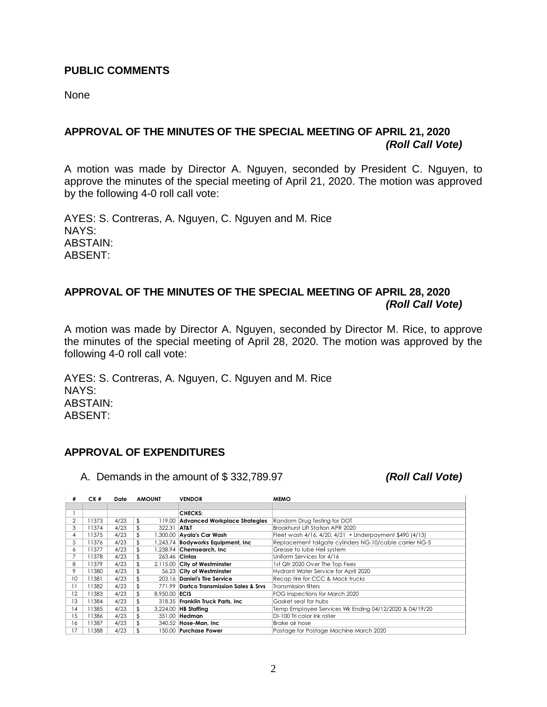#### **PUBLIC COMMENTS**

None

# **APPROVAL OF THE MINUTES OF THE SPECIAL MEETING OF APRIL 21, 2020** *(Roll Call Vote)*

A motion was made by Director A. Nguyen, seconded by President C. Nguyen, to approve the minutes of the special meeting of April 21, 2020. The motion was approved by the following 4-0 roll call vote:

AYES: S. Contreras, A. Nguyen, C. Nguyen and M. Rice NAYS: ABSTAIN: ABSENT:

# **APPROVAL OF THE MINUTES OF THE SPECIAL MEETING OF APRIL 28, 2020** *(Roll Call Vote)*

A motion was made by Director A. Nguyen, seconded by Director M. Rice, to approve the minutes of the special meeting of April 28, 2020. The motion was approved by the following 4-0 roll call vote:

AYES: S. Contreras, A. Nguyen, C. Nguyen and M. Rice NAYS: ABSTAIN: ABSENT:

# **APPROVAL OF EXPENDITURES**

A. Demands in the amount of \$ 332,789.97 *(Roll Call Vote)*

| #  | CK #  | Date | <b>AMOUNT</b>       | <b>VENDOR</b>                           | <b>MEMO</b>                                             |
|----|-------|------|---------------------|-----------------------------------------|---------------------------------------------------------|
|    |       |      |                     |                                         |                                                         |
|    |       |      |                     | <b>CHECKS:</b>                          |                                                         |
| 2  | 11373 | 4/23 | \$                  | 119.00 Advanced Workplace Strategies    | Random Drug Testing for DOT                             |
| 3  | 11374 | 4/23 | \$<br>322.31 AT&T   |                                         | Brookhurst Lift Station APR 2020                        |
| 4  | 11375 | 4/23 | \$                  | 1,300.00   Ayala's Car Wash             | Fleet wash 4/16, 4/20, 4/21 + Underpayment \$490 (4/13) |
| 5  | 11376 | 4/23 | \$                  | .243.74 Bodyworks Equipment, Inc        | Replacement tailgate cylinders NG-10/cable carrier NG-5 |
| 6  | 11377 | 4/23 | \$                  | 1.238.94 <b>Chemsearch. Inc</b>         | Grease to lube Heil system                              |
|    | 11378 | 4/23 | \$<br>263.46 Cintas |                                         | Uniform Services for 4/16                               |
| 8  | 11379 | 4/23 | \$                  | 2,115.00 City of Westminster            | 1st Qtr 2020 Over The Top Fees                          |
| 9  | 11380 | 4/23 | \$                  | 56.23 City of Westminster               | Hydrant Water Service for April 2020                    |
| 10 | 11381 | 4/23 | \$                  | 203.16 Daniel's Tire Service            | Recap tire for CCC & Mack trucks                        |
|    | 11382 | 4/23 | \$                  | 771.99 Dartco Transmission Sales & Srvs | <b>Transmission filters</b>                             |
| 12 | 11383 | 4/23 | \$<br>8.950.00 ECIS |                                         | FOG Inspections for March 2020                          |
| 13 | 11384 | 4/23 | \$                  | 318.35 Franklin Truck Parts, Inc.       | Gasket seal for hubs                                    |
| 14 | 11385 | 4/23 | \$                  | 3,224.00 HB Staffing                    | Temp Employee Services Wk Ending 04/12/2020 & 04/19/20  |
| 15 | 11386 | 4/23 | \$                  | 351.00 Hedman                           | DI-100 Tri color ink roller                             |
| 16 | 11387 | 4/23 | \$.                 | 340.52 Hose-Man, Inc.                   | Brake air hose                                          |
| 17 | 1388  | 4/23 | \$.                 | 150.00 Purchase Power                   | Postage for Postage Machine March 2020                  |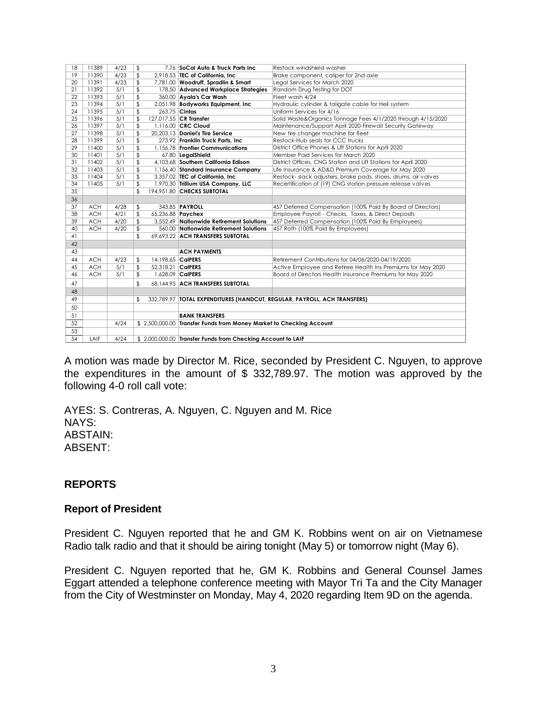| 18 | 11389      | 4/23 | \$                      | 7.76 SoCal Auto & Truck Parts Inc                                    | Restock windshield washer                                                  |  |
|----|------------|------|-------------------------|----------------------------------------------------------------------|----------------------------------------------------------------------------|--|
| 19 | 11390      | 4/23 | \$                      | $2.918.53$ TEC of California. Inc.                                   | Brake component, caliper for 2nd axle                                      |  |
| 20 | 11391      | 4/23 | \$                      | 7,781.00 Woodruff, Spradlin & Smart                                  | Legal Services for March 2020                                              |  |
| 21 | 11392      | 5/1  | \$                      | 178.50 Advanced Workplace Strategies                                 | Random Drug Testing for DOT                                                |  |
| 22 | 11393      | 5/1  | \$                      | 360.00 Ayala's Car Wash                                              | Fleet wash 4/24                                                            |  |
| 23 | 11394      | 5/1  | \$                      | 2,051.98 Bodyworks Equipment, Inc.                                   | Hydraulic cylinder & taligate cable for Heil system                        |  |
| 24 | 11395      | 5/1  | \$                      | 263.75 Cintas                                                        | Uniform Services for 4/16                                                  |  |
| 25 | 11396      | 5/1  | \$                      | 127,017.55 CR Transfer                                               | Solid Waste&Organics Tonnage Fees 4/1/2020 through 4/15/2020               |  |
| 26 | 11397      | 5/1  | \$                      | 1.116.00 CRC Cloud                                                   | Maintenance/Support April 2020-Firewall Security Gateway                   |  |
| 27 | 11398      | 5/1  | \$                      | 20.203.13 Daniel's Tire Service                                      | New tire changer machine for fleet                                         |  |
| 28 | 11399      | 5/1  | \$                      | 273.92 Franklin Truck Parts, Inc.                                    | Restock-Hub seals for CCC trucks                                           |  |
| 29 | 11400      | 5/1  | \$                      | 1.156.78 Frontier Communications                                     | District Office Phones & Lift Stations for April 2020                      |  |
| 30 | 11401      | 5/1  | \$                      | 67.80 LegalShield                                                    | Member Paid Services for March 2020                                        |  |
| 31 | 11402      | 5/1  | \$                      | 4.103.68 Southern California Edison                                  | District Offices, CNG Station and Lift Stations for April 2020             |  |
| 32 | 11403      | 5/1  | \$                      | 1,156.40 Standard Insurance Company                                  | Life Insurance & AD&D Premium Coverage for May 2020                        |  |
| 33 | 11404      | 5/1  | \$                      | 3,357.02 TEC of California, Inc.                                     | Restock- slack adjusters, brake pads, shoes, drums, air valves             |  |
| 34 | 11405      | 5/1  | \$                      | 1,970.30 Trillium USA Company, LLC                                   | Recertification of (19) CNG station pressure release valves                |  |
| 35 |            |      | \$                      | 194.951.80 CHECKS SUBTOTAL                                           |                                                                            |  |
| 36 |            |      |                         |                                                                      |                                                                            |  |
| 37 | <b>ACH</b> | 4/28 | \$                      | 343.85 <b>PAYROLL</b>                                                | 457 Deferred Compensation (100% Paid By Board of Directors)                |  |
| 38 | <b>ACH</b> | 4/21 | \$                      | 65,236.88 Paychex                                                    | Employee Payroll - Checks, Taxes, & Direct Deposits                        |  |
| 39 | <b>ACH</b> | 4/20 | \$                      | 3.552.49 Nationwide Retirement Solutions                             | 457 Deferred Compensation (100% Paid By Employees)                         |  |
| 40 | <b>ACH</b> | 4/20 | \$                      | 560.00 Nationwide Retirement Solutions                               | 457 Roth (100% Paid By Employees)                                          |  |
| 41 |            |      | \$                      | 69.693.22 ACH TRANSFERS SUBTOTAL                                     |                                                                            |  |
| 42 |            |      |                         |                                                                      |                                                                            |  |
| 43 |            |      |                         | <b>ACH PAYMENTS</b>                                                  |                                                                            |  |
| 44 | <b>ACH</b> | 4/23 | \$<br>14.198.65 CalPERS |                                                                      | Retirement Contributions for 04/06/2020-04/19/2020                         |  |
| 45 | <b>ACH</b> | 5/1  | \$<br>52,318.21 CalPERS |                                                                      | Active Employee and Retiree Health Ins Premiums for May 2020               |  |
| 46 | <b>ACH</b> | 5/1  | \$                      | 1.628.09 CalPERS                                                     | Board of Directors Health Insurance Premiums for May 2020                  |  |
| 47 |            |      | \$                      | 68.144.95 ACH TRANSFERS SUBTOTAL                                     |                                                                            |  |
| 48 |            |      |                         |                                                                      |                                                                            |  |
| 49 |            |      | \$                      |                                                                      | 332,789.97   TOTAL EXPENDITURES (HANDCUT, REGULAR, PAYROLL, ACH TRANSFERS) |  |
| 50 |            |      |                         |                                                                      |                                                                            |  |
| 51 |            |      |                         | <b>BANK TRANSFERS</b>                                                |                                                                            |  |
| 52 |            | 4/24 |                         | \$ 2,500,000.00 Transfer Funds from Money Market to Checking Account |                                                                            |  |
| 53 |            |      |                         |                                                                      |                                                                            |  |
| 54 | LAIF       | 4/24 |                         | \$ 2,000,000.00 Transfer Funds from Checking Account to LAIF         |                                                                            |  |
|    |            |      |                         |                                                                      |                                                                            |  |

A motion was made by Director M. Rice, seconded by President C. Nguyen, to approve the expenditures in the amount of \$ 332,789.97. The motion was approved by the following 4-0 roll call vote:

AYES: S. Contreras, A. Nguyen, C. Nguyen and M. Rice NAYS: ABSTAIN: ABSENT:

## **REPORTS**

#### **Report of President**

President C. Nguyen reported that he and GM K. Robbins went on air on Vietnamese Radio talk radio and that it should be airing tonight (May 5) or tomorrow night (May 6).

President C. Nguyen reported that he, GM K. Robbins and General Counsel James Eggart attended a telephone conference meeting with Mayor Tri Ta and the City Manager from the City of Westminster on Monday, May 4, 2020 regarding Item 9D on the agenda.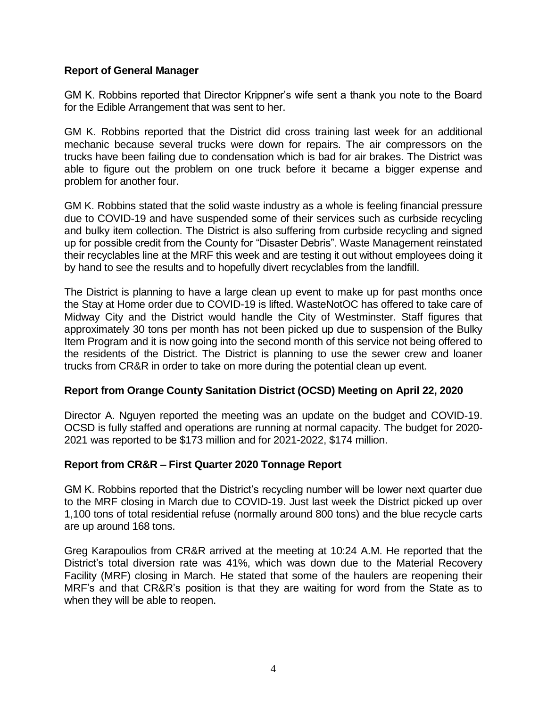## **Report of General Manager**

GM K. Robbins reported that Director Krippner's wife sent a thank you note to the Board for the Edible Arrangement that was sent to her.

GM K. Robbins reported that the District did cross training last week for an additional mechanic because several trucks were down for repairs. The air compressors on the trucks have been failing due to condensation which is bad for air brakes. The District was able to figure out the problem on one truck before it became a bigger expense and problem for another four.

GM K. Robbins stated that the solid waste industry as a whole is feeling financial pressure due to COVID-19 and have suspended some of their services such as curbside recycling and bulky item collection. The District is also suffering from curbside recycling and signed up for possible credit from the County for "Disaster Debris". Waste Management reinstated their recyclables line at the MRF this week and are testing it out without employees doing it by hand to see the results and to hopefully divert recyclables from the landfill.

The District is planning to have a large clean up event to make up for past months once the Stay at Home order due to COVID-19 is lifted. WasteNotOC has offered to take care of Midway City and the District would handle the City of Westminster. Staff figures that approximately 30 tons per month has not been picked up due to suspension of the Bulky Item Program and it is now going into the second month of this service not being offered to the residents of the District. The District is planning to use the sewer crew and loaner trucks from CR&R in order to take on more during the potential clean up event.

## **Report from Orange County Sanitation District (OCSD) Meeting on April 22, 2020**

Director A. Nguyen reported the meeting was an update on the budget and COVID-19. OCSD is fully staffed and operations are running at normal capacity. The budget for 2020- 2021 was reported to be \$173 million and for 2021-2022, \$174 million.

## **Report from CR&R – First Quarter 2020 Tonnage Report**

GM K. Robbins reported that the District's recycling number will be lower next quarter due to the MRF closing in March due to COVID-19. Just last week the District picked up over 1,100 tons of total residential refuse (normally around 800 tons) and the blue recycle carts are up around 168 tons.

Greg Karapoulios from CR&R arrived at the meeting at 10:24 A.M. He reported that the District's total diversion rate was 41%, which was down due to the Material Recovery Facility (MRF) closing in March. He stated that some of the haulers are reopening their MRF's and that CR&R's position is that they are waiting for word from the State as to when they will be able to reopen.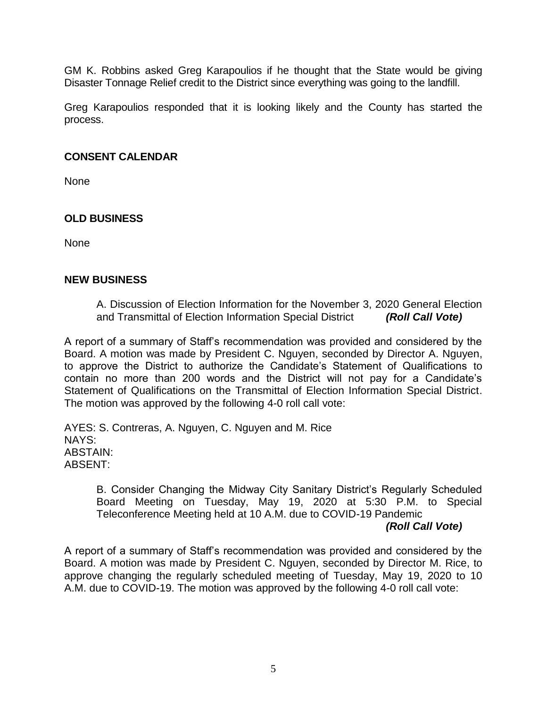GM K. Robbins asked Greg Karapoulios if he thought that the State would be giving Disaster Tonnage Relief credit to the District since everything was going to the landfill.

Greg Karapoulios responded that it is looking likely and the County has started the process.

#### **CONSENT CALENDAR**

None

# **OLD BUSINESS**

None

#### **NEW BUSINESS**

A. Discussion of Election Information for the November 3, 2020 General Election and Transmittal of Election Information Special District *(Roll Call Vote)*

A report of a summary of Staff's recommendation was provided and considered by the Board. A motion was made by President C. Nguyen, seconded by Director A. Nguyen, to approve the District to authorize the Candidate's Statement of Qualifications to contain no more than 200 words and the District will not pay for a Candidate's Statement of Qualifications on the Transmittal of Election Information Special District. The motion was approved by the following 4-0 roll call vote:

AYES: S. Contreras, A. Nguyen, C. Nguyen and M. Rice NAYS: ABSTAIN: ABSENT:

> B. Consider Changing the Midway City Sanitary District's Regularly Scheduled Board Meeting on Tuesday, May 19, 2020 at 5:30 P.M. to Special Teleconference Meeting held at 10 A.M. due to COVID-19 Pandemic

## *(Roll Call Vote)*

A report of a summary of Staff's recommendation was provided and considered by the Board. A motion was made by President C. Nguyen, seconded by Director M. Rice, to approve changing the regularly scheduled meeting of Tuesday, May 19, 2020 to 10 A.M. due to COVID-19. The motion was approved by the following 4-0 roll call vote: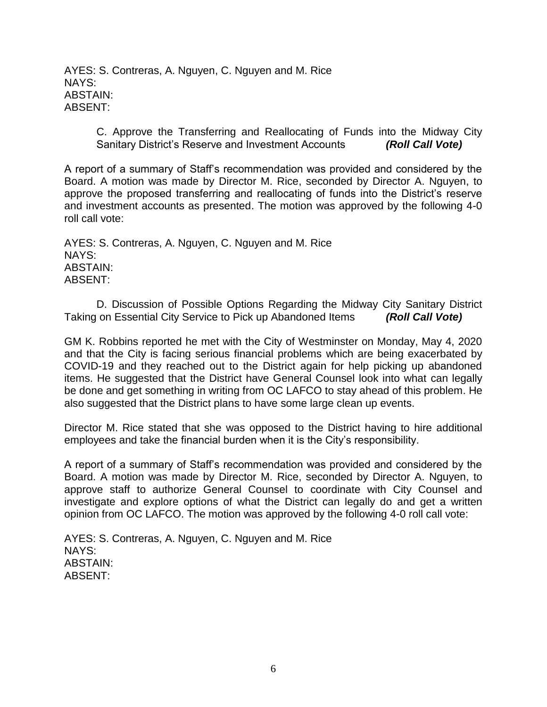AYES: S. Contreras, A. Nguyen, C. Nguyen and M. Rice NAYS: ABSTAIN: ABSENT:

> C. Approve the Transferring and Reallocating of Funds into the Midway City Sanitary District's Reserve and Investment Accounts *(Roll Call Vote)*

A report of a summary of Staff's recommendation was provided and considered by the Board. A motion was made by Director M. Rice, seconded by Director A. Nguyen, to approve the proposed transferring and reallocating of funds into the District's reserve and investment accounts as presented. The motion was approved by the following 4-0 roll call vote:

AYES: S. Contreras, A. Nguyen, C. Nguyen and M. Rice NAYS: ABSTAIN: ABSENT:

D. Discussion of Possible Options Regarding the Midway City Sanitary District Taking on Essential City Service to Pick up Abandoned Items *(Roll Call Vote)*

GM K. Robbins reported he met with the City of Westminster on Monday, May 4, 2020 and that the City is facing serious financial problems which are being exacerbated by COVID-19 and they reached out to the District again for help picking up abandoned items. He suggested that the District have General Counsel look into what can legally be done and get something in writing from OC LAFCO to stay ahead of this problem. He also suggested that the District plans to have some large clean up events.

Director M. Rice stated that she was opposed to the District having to hire additional employees and take the financial burden when it is the City's responsibility.

A report of a summary of Staff's recommendation was provided and considered by the Board. A motion was made by Director M. Rice, seconded by Director A. Nguyen, to approve staff to authorize General Counsel to coordinate with City Counsel and investigate and explore options of what the District can legally do and get a written opinion from OC LAFCO. The motion was approved by the following 4-0 roll call vote:

AYES: S. Contreras, A. Nguyen, C. Nguyen and M. Rice NAYS: ABSTAIN: ABSENT: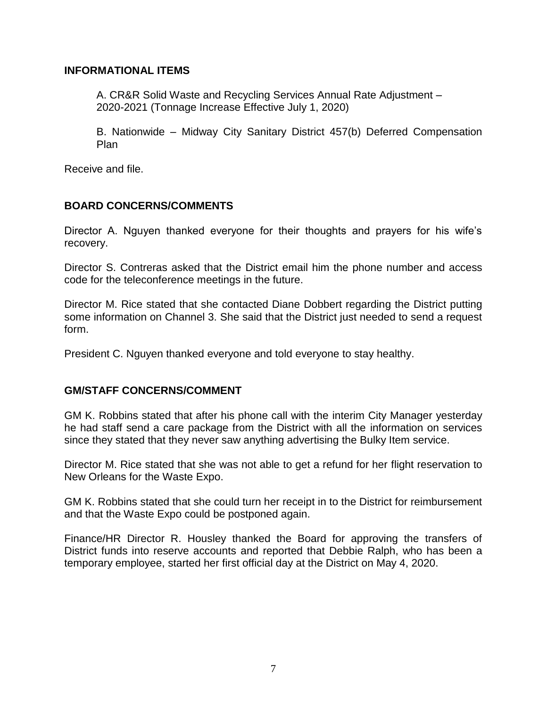## **INFORMATIONAL ITEMS**

A. CR&R Solid Waste and Recycling Services Annual Rate Adjustment – 2020-2021 (Tonnage Increase Effective July 1, 2020)

B. Nationwide – Midway City Sanitary District 457(b) Deferred Compensation Plan

Receive and file.

## **BOARD CONCERNS/COMMENTS**

Director A. Nguyen thanked everyone for their thoughts and prayers for his wife's recovery.

Director S. Contreras asked that the District email him the phone number and access code for the teleconference meetings in the future.

Director M. Rice stated that she contacted Diane Dobbert regarding the District putting some information on Channel 3. She said that the District just needed to send a request form.

President C. Nguyen thanked everyone and told everyone to stay healthy.

## **GM/STAFF CONCERNS/COMMENT**

GM K. Robbins stated that after his phone call with the interim City Manager yesterday he had staff send a care package from the District with all the information on services since they stated that they never saw anything advertising the Bulky Item service.

Director M. Rice stated that she was not able to get a refund for her flight reservation to New Orleans for the Waste Expo.

GM K. Robbins stated that she could turn her receipt in to the District for reimbursement and that the Waste Expo could be postponed again.

Finance/HR Director R. Housley thanked the Board for approving the transfers of District funds into reserve accounts and reported that Debbie Ralph, who has been a temporary employee, started her first official day at the District on May 4, 2020.